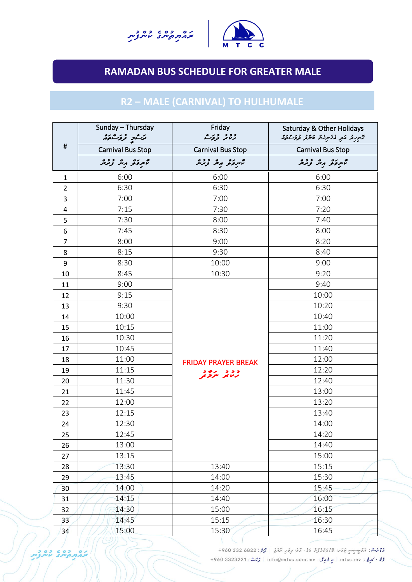



# **RAMADAN BUS SCHEDULE FOR GREATER MALE**

## **R2 – MALE (CARNIVAL) TO HULHUMALE**

|                         | Sunday - Thursday<br>برَسْوِ تْرِوَسْهُ بِرُهُ | Friday<br>د د د دره        | Saturday & Other Holidays<br>ترسرينا شر منسرند عدنه فروسي |
|-------------------------|------------------------------------------------|----------------------------|-----------------------------------------------------------|
| #                       | <b>Carnival Bus Stop</b>                       | <b>Carnival Bus Stop</b>   | <b>Carnival Bus Stop</b>                                  |
|                         | تسروكر مبر زبرير                               | تمبرؤثر ربثر زنمرشر        | تمبرؤثر ربر زبرير                                         |
| $\mathbf{1}$            | 6:00                                           | 6:00                       | 6:00                                                      |
| $\overline{2}$          | 6:30                                           | 6:30                       | 6:30                                                      |
| 3                       | 7:00                                           | 7:00                       | 7:00                                                      |
| $\overline{\mathbf{4}}$ | 7:15                                           | 7:30                       | 7:20                                                      |
| 5                       | 7:30                                           | 8:00                       | 7:40                                                      |
| 6                       | 7:45                                           | 8:30                       | 8:00                                                      |
| 7                       | 8:00                                           | 9:00                       | 8:20                                                      |
| 8                       | 8:15                                           | 9:30                       | 8:40                                                      |
| 9                       | 8:30                                           | 10:00                      | 9:00                                                      |
| 10                      | 8:45                                           | 10:30                      | 9:20                                                      |
| 11                      | 9:00                                           |                            | 9:40                                                      |
| 12                      | 9:15                                           |                            | 10:00                                                     |
| 13                      | 9:30                                           |                            | 10:20                                                     |
| 14                      | 10:00                                          |                            | 10:40                                                     |
| 15                      | 10:15                                          |                            | 11:00                                                     |
| 16                      | 10:30                                          |                            | 11:20                                                     |
| 17                      | 10:45                                          |                            | 11:40                                                     |
| 18                      | 11:00                                          | <b>FRIDAY PRAYER BREAK</b> | 12:00                                                     |
| 19                      | 11:15                                          | ود د پرور                  | 12:20                                                     |
| 20                      | 11:30                                          |                            | 12:40                                                     |
| 21                      | 11:45                                          |                            | 13:00                                                     |
| 22                      | 12:00                                          |                            | 13:20                                                     |
| 23                      | 12:15                                          |                            | 13:40                                                     |
| 24                      | 12:30                                          |                            | 14:00                                                     |
| 25                      | 12:45                                          |                            | 14:20                                                     |
| 26                      | 13:00                                          |                            | 14:40                                                     |
| 27                      | 13:15                                          |                            | 15:00                                                     |
| 28                      | 13:30                                          | 13:40                      | 15:15                                                     |
| 29                      | 13:45                                          | 14:00                      | 15:30                                                     |
| 30                      | 14:00                                          | 14:20                      | 15:45                                                     |
| 31                      | 14:15                                          | 14:40                      | 16:00                                                     |
| 32                      | 14:30                                          | 15:00                      | 16:15                                                     |
| 33 <sup>2</sup>         | 14:45                                          | 15:15                      | 16:30                                                     |
| 34                      | 15:00                                          | 15:30                      | 16:45                                                     |
|                         |                                                |                            |                                                           |

مْعْدُمْ : مُرْوَجِسِبِ عَلَابًا فَيْمُ مُدَرِّدُونَ وَيُ وَيُ مِرْمَرٍ مُرْدَعٍ | كَمِيْرٍ : 6822 330 4960+ مُرَّةً - كَمَامِعًا: mtcc.mv | مِرْدُمِرْ: info@mtcc.com.mv | مُرْحَمَدُ: 3323221 +960+